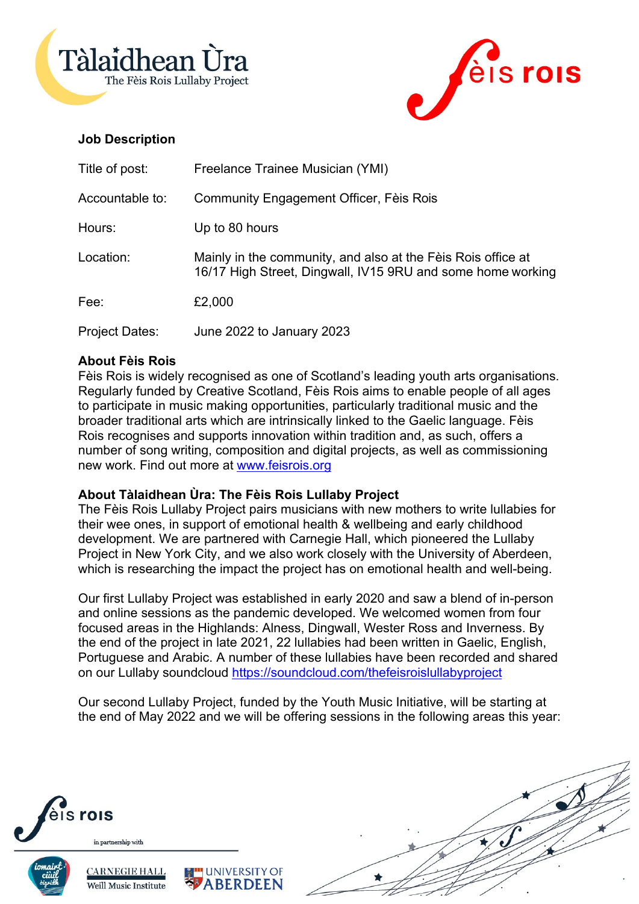



# **Job Description**

| Title of post:        | Freelance Trainee Musician (YMI)                                                                                            |
|-----------------------|-----------------------------------------------------------------------------------------------------------------------------|
| Accountable to:       | Community Engagement Officer, Fèis Rois                                                                                     |
| Hours:                | Up to 80 hours                                                                                                              |
| Location:             | Mainly in the community, and also at the Fèis Rois office at<br>16/17 High Street, Dingwall, IV15 9RU and some home working |
| Fee:                  | £2,000                                                                                                                      |
| <b>Project Dates:</b> | June 2022 to January 2023                                                                                                   |

# **About Fèis Rois**

Fèis Rois is widely recognised as one of Scotland's leading youth arts organisations. Regularly funded by Creative Scotland, Fèis Rois aims to enable people of all ages to participate in music making opportunities, particularly traditional music and the broader traditional arts which are intrinsically linked to the Gaelic language. Fèis Rois recognises and supports innovation within tradition and, as such, offers a number of song writing, composition and digital projects, as well as commissioning new work. Find out more at www.feisrois.org

# **About Tàlaidhean Ùra: The Fèis Rois Lullaby Project**

**UNIVERSITY OF BERDEEN** 

The Fèis Rois Lullaby Project pairs musicians with new mothers to write lullabies for their wee ones, in support of emotional health & wellbeing and early childhood development. We are partnered with Carnegie Hall, which pioneered the Lullaby Project in New York City, and we also work closely with the University of Aberdeen, which is researching the impact the project has on emotional health and well-being.

Our first Lullaby Project was established in early 2020 and saw a blend of in-person and online sessions as the pandemic developed. We welcomed women from four focused areas in the Highlands: Alness, Dingwall, Wester Ross and Inverness. By the end of the project in late 2021, 22 lullabies had been written in Gaelic, English, Portuguese and Arabic. A number of these lullabies have been recorded and shared on our Lullaby soundcloud https://soundcloud.com/thefeisroislullabyproject

Our second Lullaby Project, funded by the Youth Music Initiative, will be starting at the end of May 2022 and we will be offering sessions in the following areas this year:



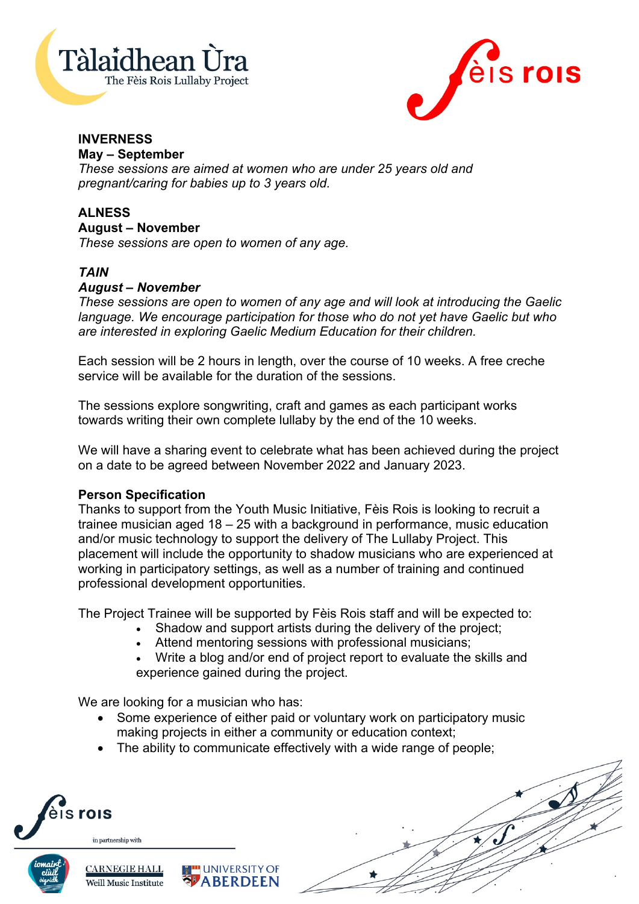



# **INVERNESS**

**May – September**

*These sessions are aimed at women who are under 25 years old and pregnant/caring for babies up to 3 years old.*

# **ALNESS**

#### **August – November**

*These sessions are open to women of any age.*

### *TAIN*

### *August – November*

*These sessions are open to women of any age and will look at introducing the Gaelic language. We encourage participation for those who do not yet have Gaelic but who are interested in exploring Gaelic Medium Education for their children.*

Each session will be 2 hours in length, over the course of 10 weeks. A free creche service will be available for the duration of the sessions.

The sessions explore songwriting, craft and games as each participant works towards writing their own complete lullaby by the end of the 10 weeks.

We will have a sharing event to celebrate what has been achieved during the project on a date to be agreed between November 2022 and January 2023.

#### **Person Specification**

Thanks to support from the Youth Music Initiative, Fèis Rois is looking to recruit a trainee musician aged 18 – 25 with a background in performance, music education and/or music technology to support the delivery of The Lullaby Project. This placement will include the opportunity to shadow musicians who are experienced at working in participatory settings, as well as a number of training and continued professional development opportunities.

The Project Trainee will be supported by Fèis Rois staff and will be expected to:

- Shadow and support artists during the delivery of the project;
- Attend mentoring sessions with professional musicians;
- Write a blog and/or end of project report to evaluate the skills and experience gained during the project.

We are looking for a musician who has:

- Some experience of either paid or voluntary work on participatory music making projects in either a community or education context;
- The ability to communicate effectively with a wide range of people;

**UNIVERSITY OF ABERDEEN**